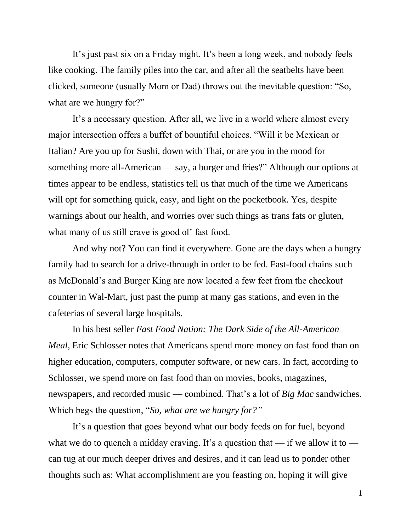It's just past six on a Friday night. It's been a long week, and nobody feels like cooking. The family piles into the car, and after all the seatbelts have been clicked, someone (usually Mom or Dad) throws out the inevitable question: "So, what are we hungry for?"

It's a necessary question. After all, we live in a world where almost every major intersection offers a buffet of bountiful choices. "Will it be Mexican or Italian? Are you up for Sushi, down with Thai, or are you in the mood for something more all-American — say, a burger and fries?" Although our options at times appear to be endless, statistics tell us that much of the time we Americans will opt for something quick, easy, and light on the pocketbook. Yes, despite warnings about our health, and worries over such things as trans fats or gluten, what many of us still crave is good ol' fast food.

And why not? You can find it everywhere. Gone are the days when a hungry family had to search for a drive-through in order to be fed. Fast-food chains such as McDonald's and Burger King are now located a few feet from the checkout counter in Wal-Mart, just past the pump at many gas stations, and even in the cafeterias of several large hospitals.

In his best seller *Fast Food Nation: The Dark Side of the All-American Meal*, Eric Schlosser notes that Americans spend more money on fast food than on higher education, computers, computer software, or new cars. In fact, according to Schlosser, we spend more on fast food than on movies, books, magazines, newspapers, and recorded music — combined. That's a lot of *Big Mac* sandwiches. Which begs the question, "*So, what are we hungry for?"*

It's a question that goes beyond what our body feeds on for fuel, beyond what we do to quench a midday craving. It's a question that — if we allow it to can tug at our much deeper drives and desires, and it can lead us to ponder other thoughts such as: What accomplishment are you feasting on, hoping it will give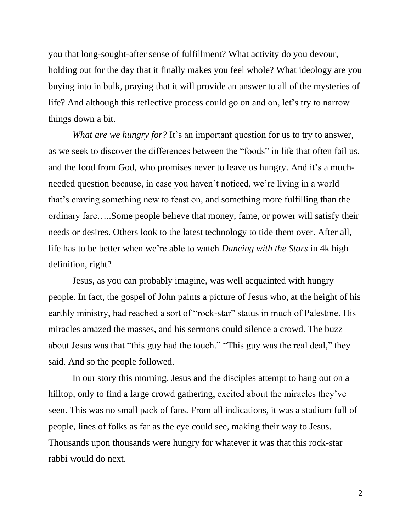you that long-sought-after sense of fulfillment? What activity do you devour, holding out for the day that it finally makes you feel whole? What ideology are you buying into in bulk, praying that it will provide an answer to all of the mysteries of life? And although this reflective process could go on and on, let's try to narrow things down a bit.

*What are we hungry for?* It's an important question for us to try to answer, as we seek to discover the differences between the "foods" in life that often fail us, and the food from God, who promises never to leave us hungry. And it's a muchneeded question because, in case you haven't noticed, we're living in a world that's craving something new to feast on, and something more fulfilling than the ordinary fare…..Some people believe that money, fame, or power will satisfy their needs or desires. Others look to the latest technology to tide them over. After all, life has to be better when we're able to watch *Dancing with the Stars* in 4k high definition, right?

Jesus, as you can probably imagine, was well acquainted with hungry people. In fact, the gospel of John paints a picture of Jesus who, at the height of his earthly ministry, had reached a sort of "rock-star" status in much of Palestine. His miracles amazed the masses, and his sermons could silence a crowd. The buzz about Jesus was that "this guy had the touch." "This guy was the real deal," they said. And so the people followed.

In our story this morning, Jesus and the disciples attempt to hang out on a hilltop, only to find a large crowd gathering, excited about the miracles they've seen. This was no small pack of fans. From all indications, it was a stadium full of people, lines of folks as far as the eye could see, making their way to Jesus. Thousands upon thousands were hungry for whatever it was that this rock-star rabbi would do next.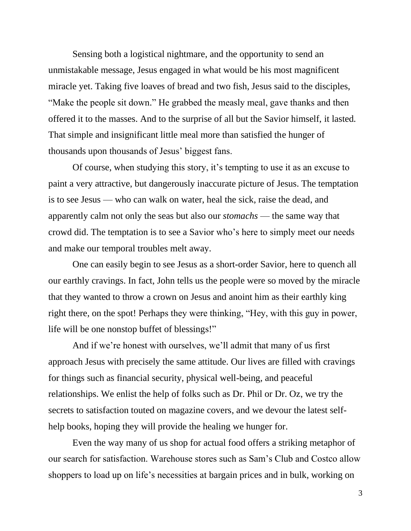Sensing both a logistical nightmare, and the opportunity to send an unmistakable message, Jesus engaged in what would be his most magnificent miracle yet. Taking five loaves of bread and two fish, Jesus said to the disciples, "Make the people sit down." He grabbed the measly meal, gave thanks and then offered it to the masses. And to the surprise of all but the Savior himself, it lasted*.* That simple and insignificant little meal more than satisfied the hunger of thousands upon thousands of Jesus' biggest fans.

Of course, when studying this story, it's tempting to use it as an excuse to paint a very attractive, but dangerously inaccurate picture of Jesus. The temptation is to see Jesus — who can walk on water, heal the sick, raise the dead, and apparently calm not only the seas but also our *stomachs* — the same way that crowd did. The temptation is to see a Savior who's here to simply meet our needs and make our temporal troubles melt away.

One can easily begin to see Jesus as a short-order Savior, here to quench all our earthly cravings. In fact, John tells us the people were so moved by the miracle that they wanted to throw a crown on Jesus and anoint him as their earthly king right there, on the spot! Perhaps they were thinking, "Hey, with this guy in power, life will be one nonstop buffet of blessings!"

And if we're honest with ourselves, we'll admit that many of us first approach Jesus with precisely the same attitude. Our lives are filled with cravings for things such as financial security, physical well-being, and peaceful relationships. We enlist the help of folks such as Dr. Phil or Dr. Oz, we try the secrets to satisfaction touted on magazine covers, and we devour the latest selfhelp books, hoping they will provide the healing we hunger for.

Even the way many of us shop for actual food offers a striking metaphor of our search for satisfaction. Warehouse stores such as Sam's Club and Costco allow shoppers to load up on life's necessities at bargain prices and in bulk, working on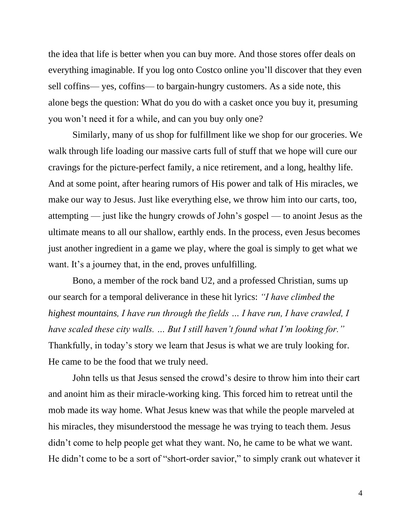the idea that life is better when you can buy more. And those stores offer deals on everything imaginable. If you log onto Costco online you'll discover that they even sell coffins— yes, coffins— to bargain-hungry customers. As a side note, this alone begs the question: What do you do with a casket once you buy it, presuming you won't need it for a while, and can you buy only one?

Similarly, many of us shop for fulfillment like we shop for our groceries. We walk through life loading our massive carts full of stuff that we hope will cure our cravings for the picture-perfect family, a nice retirement, and a long, healthy life. And at some point, after hearing rumors of His power and talk of His miracles, we make our way to Jesus. Just like everything else, we throw him into our carts, too, attempting — just like the hungry crowds of John's gospel — to anoint Jesus as the ultimate means to all our shallow, earthly ends. In the process, even Jesus becomes just another ingredient in a game we play, where the goal is simply to get what we want. It's a journey that, in the end, proves unfulfilling.

Bono, a member of the rock band U2, and a professed Christian, sums up our search for a temporal deliverance in these hit lyrics: *"I have climbed the highest mountains, I have run through the fields … I have run, I have crawled, I have scaled these city walls. … But I still haven't found what I'm looking for."*  Thankfully, in today's story we learn that Jesus is what we are truly looking for. He came to be the food that we truly need.

John tells us that Jesus sensed the crowd's desire to throw him into their cart and anoint him as their miracle-working king. This forced him to retreat until the mob made its way home. What Jesus knew was that while the people marveled at his miracles, they misunderstood the message he was trying to teach them*.* Jesus didn't come to help people get what they want. No, he came to be what we want. He didn't come to be a sort of "short-order savior," to simply crank out whatever it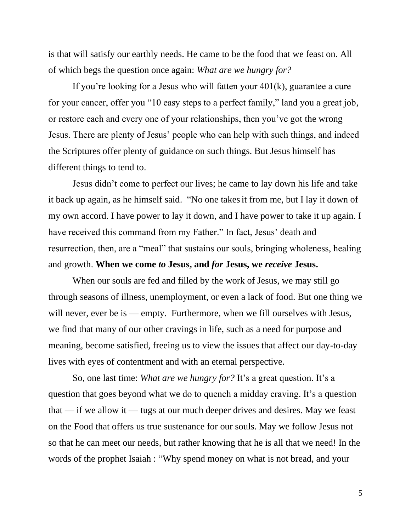is that will satisfy our earthly needs. He came to be the food that we feast on. All of which begs the question once again: *What are we hungry for?*

If you're looking for a Jesus who will fatten your 401(k), guarantee a cure for your cancer, offer you "10 easy steps to a perfect family," land you a great job, or restore each and every one of your relationships, then you've got the wrong Jesus. There are plenty of Jesus' people who can help with such things, and indeed the Scriptures offer plenty of guidance on such things. But Jesus himself has different things to tend to.

Jesus didn't come to perfect our lives; he came to lay down his life and take it back up again, as he himself said. "No one takesit from me, but I lay it down of my own accord. I have power to lay it down, and I have power to take it up again. I have received this command from my Father." In fact, Jesus' death and resurrection, then, are a "meal" that sustains our souls, bringing wholeness, healing and growth. **When we come** *to* **Jesus, and** *for* **Jesus, we** *receive* **Jesus.**

When our souls are fed and filled by the work of Jesus, we may still go through seasons of illness, unemployment, or even a lack of food. But one thing we will never, ever be is — empty. Furthermore, when we fill ourselves with Jesus, we find that many of our other cravings in life, such as a need for purpose and meaning, become satisfied, freeing us to view the issues that affect our day-to-day lives with eyes of contentment and with an eternal perspective.

So, one last time: *What are we hungry for?* It's a great question. It's a question that goes beyond what we do to quench a midday craving. It's a question that — if we allow it — tugs at our much deeper drives and desires. May we feast on the Food that offers us true sustenance for our souls. May we follow Jesus not so that he can meet our needs, but rather knowing that he is all that we need! In the words of the prophet Isaiah : "Why spend money on what is not bread, and your